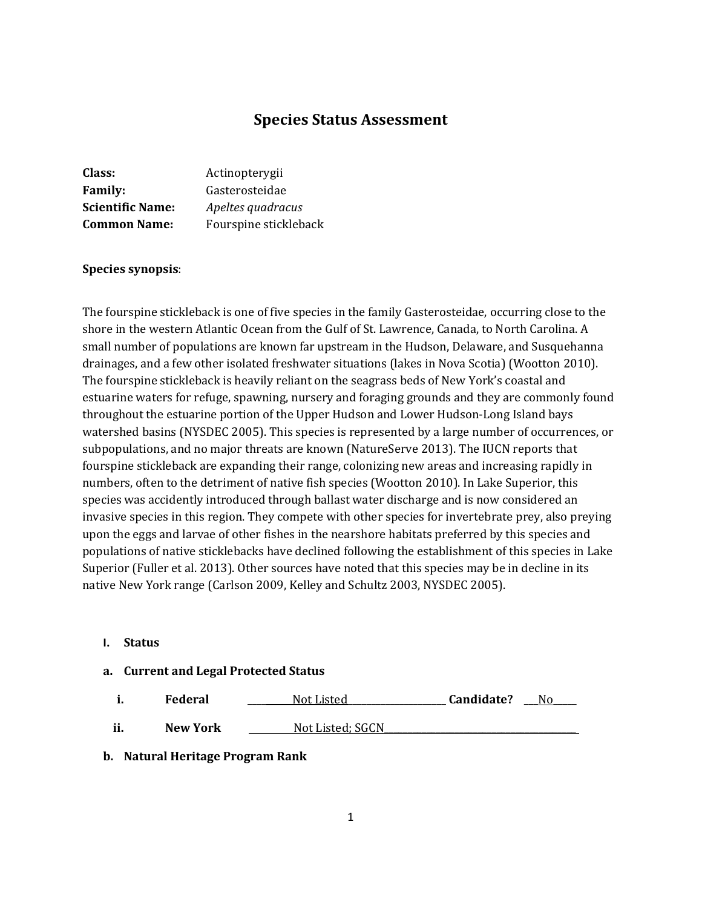# **Species Status Assessment**

| Class:                  | Actinopterygii        |
|-------------------------|-----------------------|
| <b>Family:</b>          | Gasterosteidae        |
| <b>Scientific Name:</b> | Apeltes quadracus     |
| <b>Common Name:</b>     | Fourspine stickleback |

#### **Species synopsis**:

The fourspine stickleback is one of five species in the family Gasterosteidae, occurring close to the shore in the western Atlantic Ocean from the Gulf of St. Lawrence, Canada, to North Carolina. A small number of populations are known far upstream in the Hudson, Delaware, and Susquehanna drainages, and a few other isolated freshwater situations (lakes in Nova Scotia) (Wootton 2010). The fourspine stickleback is heavily reliant on the seagrass beds of New York's coastal and estuarine waters for refuge, spawning, nursery and foraging grounds and they are commonly found throughout the estuarine portion of the Upper Hudson and Lower Hudson-Long Island bays watershed basins (NYSDEC 2005). This species is represented by a large number of occurrences, or subpopulations, and no major threats are known (NatureServe 2013). The IUCN reports that fourspine stickleback are expanding their range, colonizing new areas and increasing rapidly in numbers, often to the detriment of native fish species (Wootton 2010). In Lake Superior, this species was accidently introduced through ballast water discharge and is now considered an invasive species in this region. They compete with other species for invertebrate prey, also preying upon the eggs and larvae of other fishes in the nearshore habitats preferred by this species and populations of native sticklebacks have declined following the establishment of this species in Lake Superior (Fuller et al. 2013). Other sources have noted that this species may be in decline in its native New York range (Carlson 2009, Kelley and Schultz 2003, NYSDEC 2005).

#### **I. Status**

#### **a. Current and Legal Protected Status**

| Federal | Not Listed | Candidate? | No |
|---------|------------|------------|----|
|         |            |            |    |

**ii. New York** Not Listed: SGCN

#### **b. Natural Heritage Program Rank**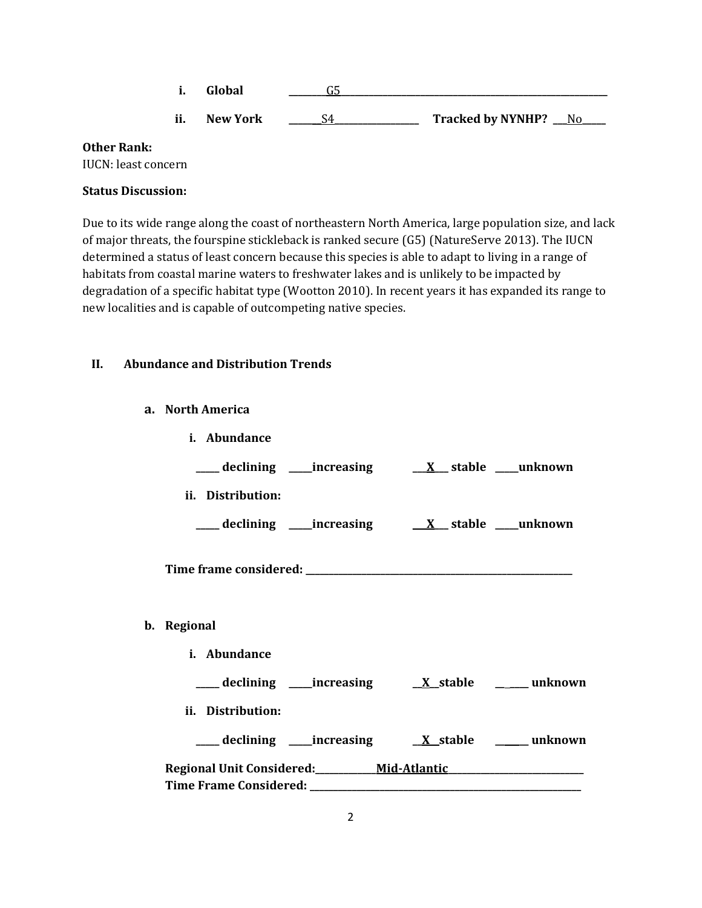**i. Global \_\_\_\_\_\_\_\_**G5**\_\_\_\_\_\_\_\_\_\_\_\_\_\_\_\_\_\_\_\_\_\_\_\_\_\_\_\_\_\_\_\_\_\_\_\_\_\_\_\_\_\_\_\_\_\_\_\_\_\_\_\_\_\_\_\_\_ ii. New York \_\_\_\_\_\_\_**S4**\_\_\_\_\_\_\_\_\_\_\_\_\_\_\_\_\_\_ Tracked by NYNHP? \_\_\_**No**\_\_\_\_\_**

#### **Other Rank:**

IUCN: least concern

## **Status Discussion:**

Due to its wide range along the coast of northeastern North America, large population size, and lack of major threats, the fourspine stickleback is ranked secure (G5) (NatureServe 2013). The IUCN determined a status of least concern because this species is able to adapt to living in a range of habitats from coastal marine waters to freshwater lakes and is unlikely to be impacted by degradation of a specific habitat type (Wootton 2010). In recent years it has expanded its range to new localities and is capable of outcompeting native species.

### **II. Abundance and Distribution Trends**

### **a. North America**

| i. Abundance                                                                     |                                                                  |  |
|----------------------------------------------------------------------------------|------------------------------------------------------------------|--|
|                                                                                  |                                                                  |  |
| ii. Distribution:                                                                |                                                                  |  |
|                                                                                  |                                                                  |  |
|                                                                                  |                                                                  |  |
| b. Regional                                                                      |                                                                  |  |
| i. Abundance                                                                     |                                                                  |  |
|                                                                                  |                                                                  |  |
| ii. Distribution:                                                                |                                                                  |  |
|                                                                                  | ___ declining ____increasing ____ <u>X_stable __</u> ___ unknown |  |
| Regional Unit Considered: _________ Mid-Atlantic _______________________________ |                                                                  |  |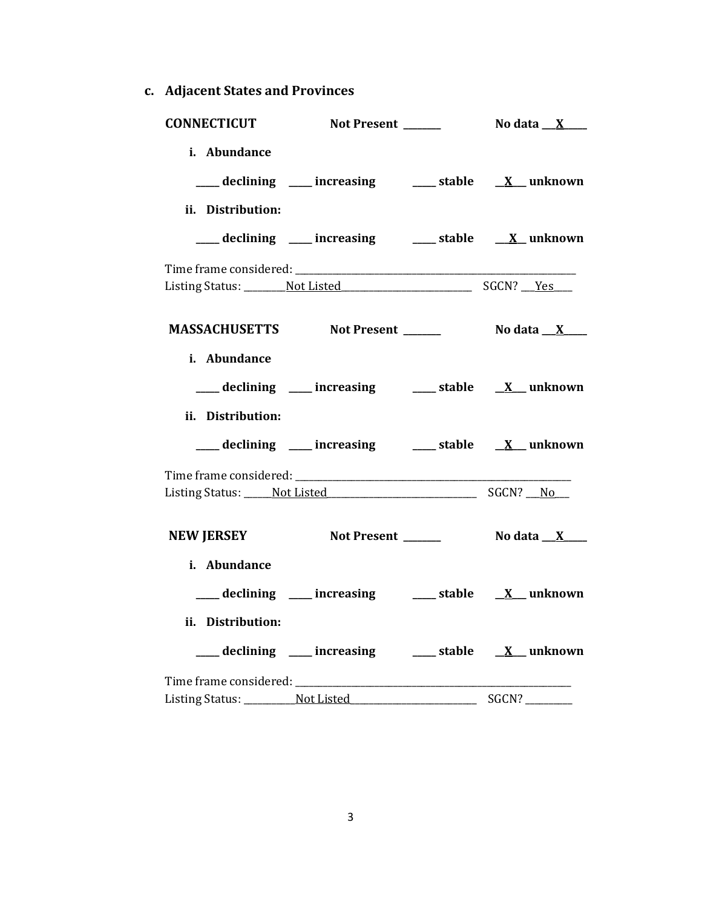**c. Adjacent States and Provinces**

| <b>CONNECTICUT</b>                    | Not Present ______                                     | No data <u>X</u>                  |
|---------------------------------------|--------------------------------------------------------|-----------------------------------|
| i. Abundance                          |                                                        |                                   |
|                                       | ___ declining ___ increasing ___ stable __ X_ unknown  |                                   |
| ii. Distribution:                     |                                                        |                                   |
|                                       |                                                        |                                   |
|                                       | ___ declining ___ increasing ___ stable __ X_unknown   |                                   |
|                                       |                                                        |                                   |
|                                       |                                                        |                                   |
|                                       |                                                        |                                   |
|                                       | MASSACHUSETTS Not Present ______                       | No data <u>__X__</u> __           |
| i. Abundance                          |                                                        |                                   |
|                                       | ___ declining ___ increasing ___ stable __ X_ unknown  |                                   |
| ii. Distribution:                     |                                                        |                                   |
|                                       |                                                        |                                   |
|                                       | ___ declining ___ increasing ___ stable __ X_ unknown  |                                   |
|                                       |                                                        |                                   |
|                                       | Listing Status: Not Listed Status: No Listed SGCN? No  |                                   |
|                                       |                                                        |                                   |
|                                       | NEW JERSEY Not Present ______                          | No data $\mathbf{X}$ $\mathbf{X}$ |
| i. Abundance                          |                                                        |                                   |
|                                       | ___ declining ___ increasing ___ stable __ X_unknown   |                                   |
| ii. Distribution:                     |                                                        |                                   |
|                                       |                                                        |                                   |
|                                       | ___ declining ___ increasing ___ stable __ X__ unknown |                                   |
|                                       |                                                        |                                   |
| Listing Status: __________ Not Listed |                                                        |                                   |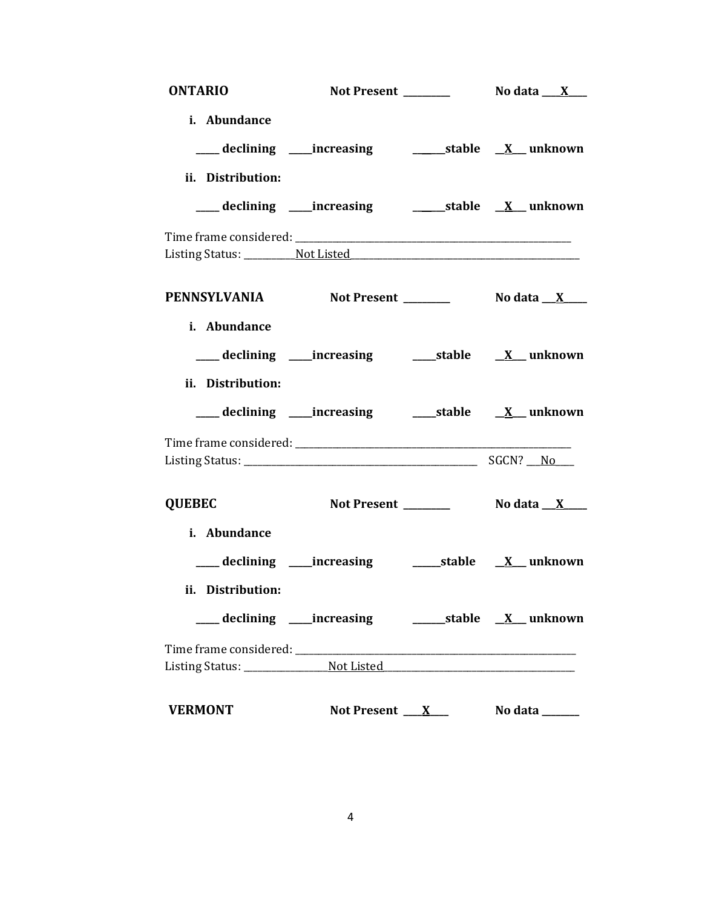| <b>ONTARIO</b>                                  |                                                                         |                      |                                   |
|-------------------------------------------------|-------------------------------------------------------------------------|----------------------|-----------------------------------|
| i. Abundance                                    | ___ declining ___increasing __________stable __ <u>X</u> __ unknown     |                      |                                   |
| ii. Distribution:                               |                                                                         |                      |                                   |
|                                                 |                                                                         |                      |                                   |
|                                                 |                                                                         |                      |                                   |
|                                                 |                                                                         |                      |                                   |
| PENNSYLVANIA Not Present _________ No data X___ |                                                                         |                      |                                   |
| i. Abundance                                    |                                                                         |                      |                                   |
|                                                 | ___ declining ____increasing ______stable ___ <u>X</u> __unknown        |                      |                                   |
| ii. Distribution:                               |                                                                         |                      |                                   |
|                                                 |                                                                         |                      |                                   |
|                                                 |                                                                         |                      |                                   |
|                                                 |                                                                         |                      |                                   |
| <b>QUEBEC</b>                                   |                                                                         |                      |                                   |
| i. Abundance                                    |                                                                         |                      |                                   |
|                                                 |                                                                         |                      |                                   |
| ii. Distribution:                               |                                                                         |                      |                                   |
|                                                 | ___declining ___increasing _______________stable ___ <u>X__</u> unknown |                      |                                   |
|                                                 |                                                                         |                      |                                   |
|                                                 |                                                                         |                      |                                   |
| <b>VERMONT</b>                                  |                                                                         | Not Present <u>X</u> | No data $\_\_\_\_\_\_\_\_\_\_\_\$ |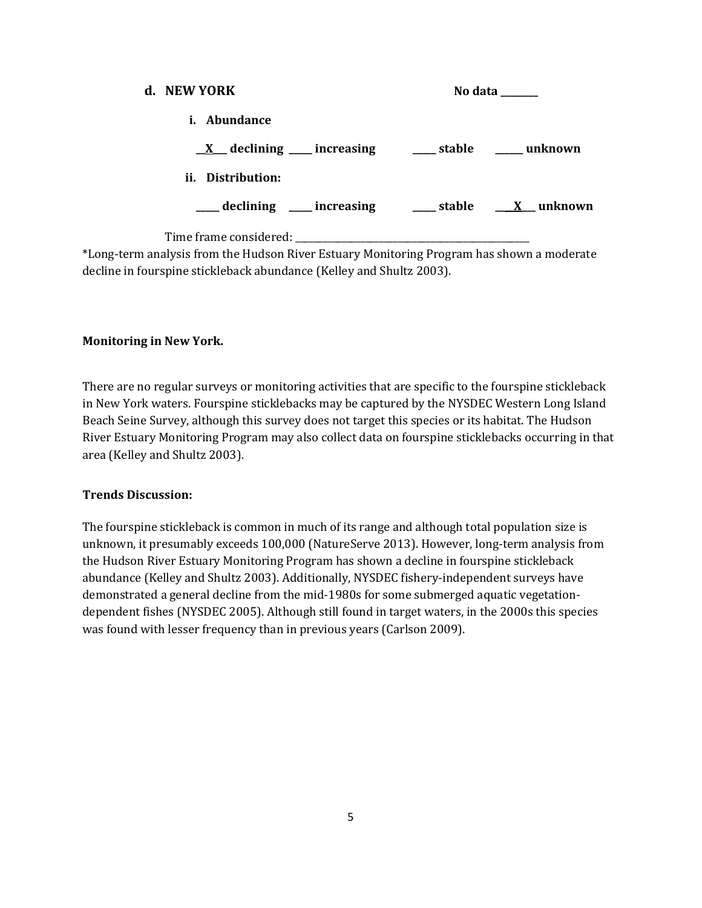| d. NEW YORK                                                                                                                                                                                                 | No data ______ |  |
|-------------------------------------------------------------------------------------------------------------------------------------------------------------------------------------------------------------|----------------|--|
| <i>i.</i> Abundance                                                                                                                                                                                         |                |  |
| $\underline{X}$ declining ___ increasing ____ stable ____ unknown                                                                                                                                           |                |  |
| ii. Distribution:                                                                                                                                                                                           |                |  |
| declining ____ increasing _____ stable ____ X __ unknown                                                                                                                                                    |                |  |
| $\mathbf{u} \in \mathbf{A}$ , and $\mathbf{f} \in \mathbf{B}$ . The state $\mathbf{M} \in \mathbf{M}$ , and $\mathbf{A} \in \mathbf{A}$ , and $\mathbf{A} \in \mathbf{A}$ , and $\mathbf{A} \in \mathbf{A}$ |                |  |

\*Long-term analysis from the Hudson River Estuary Monitoring Program has shown a moderate decline in fourspine stickleback abundance (Kelley and Shultz 2003).

### **Monitoring in New York.**

There are no regular surveys or monitoring activities that are specific to the fourspine stickleback in New York waters. Fourspine sticklebacks may be captured by the NYSDEC Western Long Island Beach Seine Survey, although this survey does not target this species or its habitat. The Hudson River Estuary Monitoring Program may also collect data on fourspine sticklebacks occurring in that area (Kelley and Shultz 2003).

### **Trends Discussion:**

The fourspine stickleback is common in much of its range and although total population size is unknown, it presumably exceeds 100,000 (NatureServe 2013). However, long-term analysis from the Hudson River Estuary Monitoring Program has shown a decline in fourspine stickleback abundance (Kelley and Shultz 2003). Additionally, NYSDEC fishery-independent surveys have demonstrated a general decline from the mid-1980s for some submerged aquatic vegetationdependent fishes (NYSDEC 2005). Although still found in target waters, in the 2000s this species was found with lesser frequency than in previous years (Carlson 2009).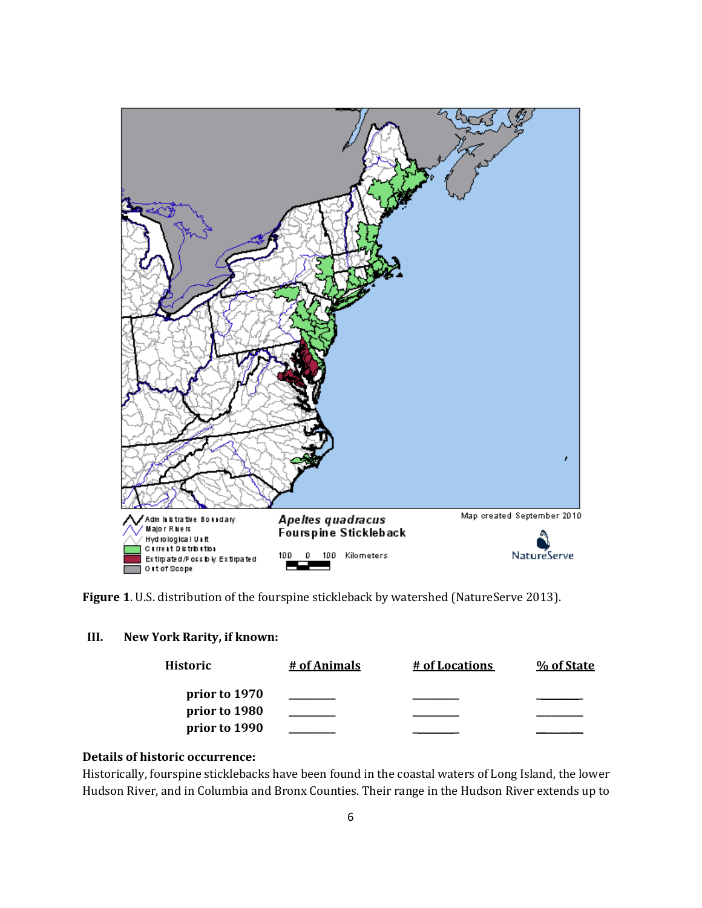

**Figure 1**. U.S. distribution of the fourspine stickleback by watershed (NatureServe 2013).

### **III. New York Rarity, if known:**

| Historic      | # of Animals | # of Locations | % of State |
|---------------|--------------|----------------|------------|
| prior to 1970 |              |                |            |
| prior to 1980 |              |                |            |
| prior to 1990 |              |                |            |

## **Details of historic occurrence:**

Historically, fourspine sticklebacks have been found in the coastal waters of Long Island, the lower Hudson River, and in Columbia and Bronx Counties. Their range in the Hudson River extends up to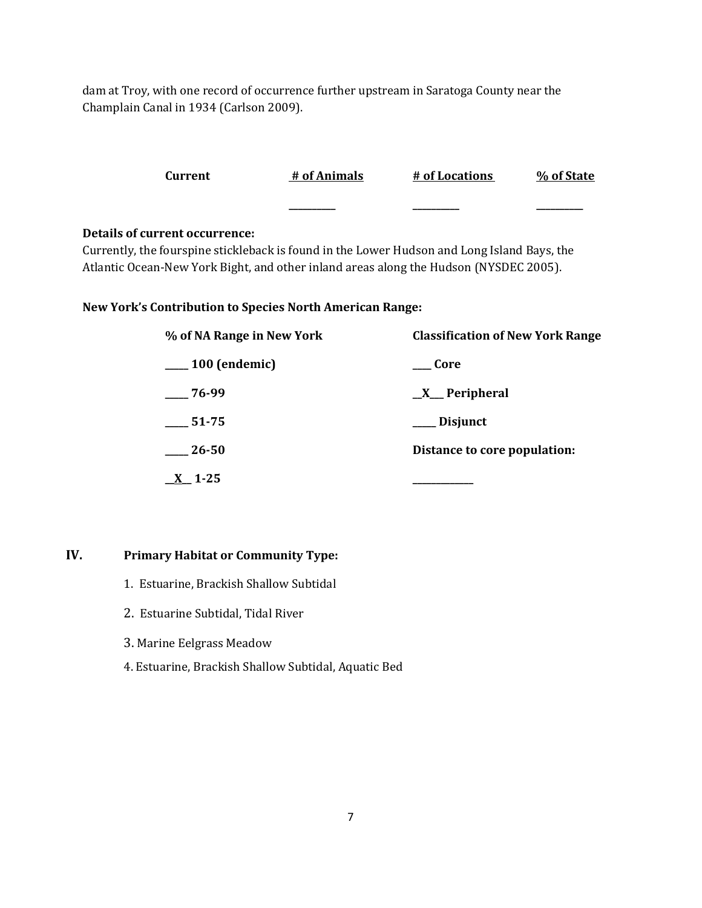dam at Troy, with one record of occurrence further upstream in Saratoga County near the Champlain Canal in 1934 (Carlson 2009).

|                                                                 | Current                               | # of Animals | # of Locations                                                                              | % of State |
|-----------------------------------------------------------------|---------------------------------------|--------------|---------------------------------------------------------------------------------------------|------------|
|                                                                 |                                       |              |                                                                                             |            |
|                                                                 | <b>Details of current occurrence:</b> |              | Currently, the fourspine stickleback is found in the Lower Hudson and Long Island Bays, the |            |
|                                                                 |                                       |              | Atlantic Ocean-New York Bight, and other inland areas along the Hudson (NYSDEC 2005).       |            |
| <b>New York's Contribution to Species North American Range:</b> |                                       |              |                                                                                             |            |

| % of NA Range in New York | <b>Classification of New York Range</b> |  |  |
|---------------------------|-----------------------------------------|--|--|
| $\_\_100$ (endemic)       | Core                                    |  |  |
| $-76-99$                  | $X$ Peripheral                          |  |  |
| 51-75                     | ___ Disjunct                            |  |  |
| 26-50                     | Distance to core population:            |  |  |
| 1-25                      |                                         |  |  |

## **IV. Primary Habitat or Community Type:**

- 1. Estuarine, Brackish Shallow Subtidal
- 2. Estuarine Subtidal, Tidal River
- 3. Marine Eelgrass Meadow
- 4. Estuarine, Brackish Shallow Subtidal, Aquatic Bed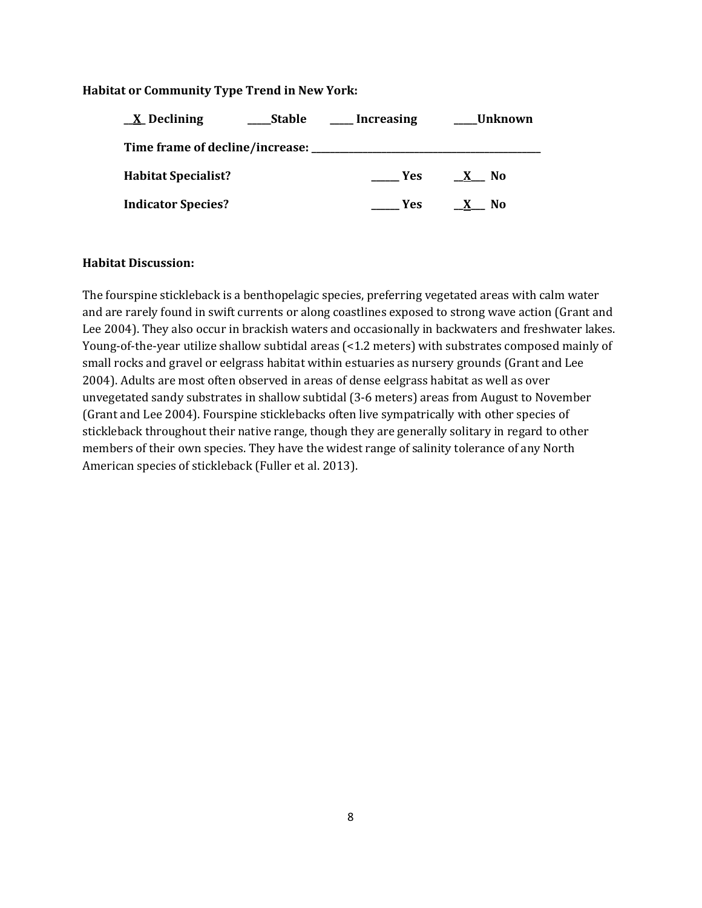### **Habitat or Community Type Trend in New York:**

| <u>X</u> Declining                             | Stable | <b>Increasing</b> | _Unknown             |
|------------------------------------------------|--------|-------------------|----------------------|
| Time frame of decline/increase: ______________ |        |                   |                      |
| <b>Habitat Specialist?</b>                     |        | <b>Yes</b>        | - No<br>$\mathbf{X}$ |
| <b>Indicator Species?</b>                      |        | <b>Yes</b>        | No                   |

#### **Habitat Discussion:**

The fourspine stickleback is a benthopelagic species, preferring vegetated areas with calm water and are rarely found in swift currents or along coastlines exposed to strong wave action (Grant and Lee 2004). They also occur in brackish waters and occasionally in backwaters and freshwater lakes. Young-of-the-year utilize shallow subtidal areas (<1.2 meters) with substrates composed mainly of small rocks and gravel or eelgrass habitat within estuaries as nursery grounds (Grant and Lee 2004). Adults are most often observed in areas of dense eelgrass habitat as well as over unvegetated sandy substrates in shallow subtidal (3-6 meters) areas from August to November (Grant and Lee 2004). Fourspine sticklebacks often live sympatrically with other species of stickleback throughout their native range, though they are generally solitary in regard to other members of their own species. They have the widest range of salinity tolerance of any North American species of stickleback (Fuller et al. 2013).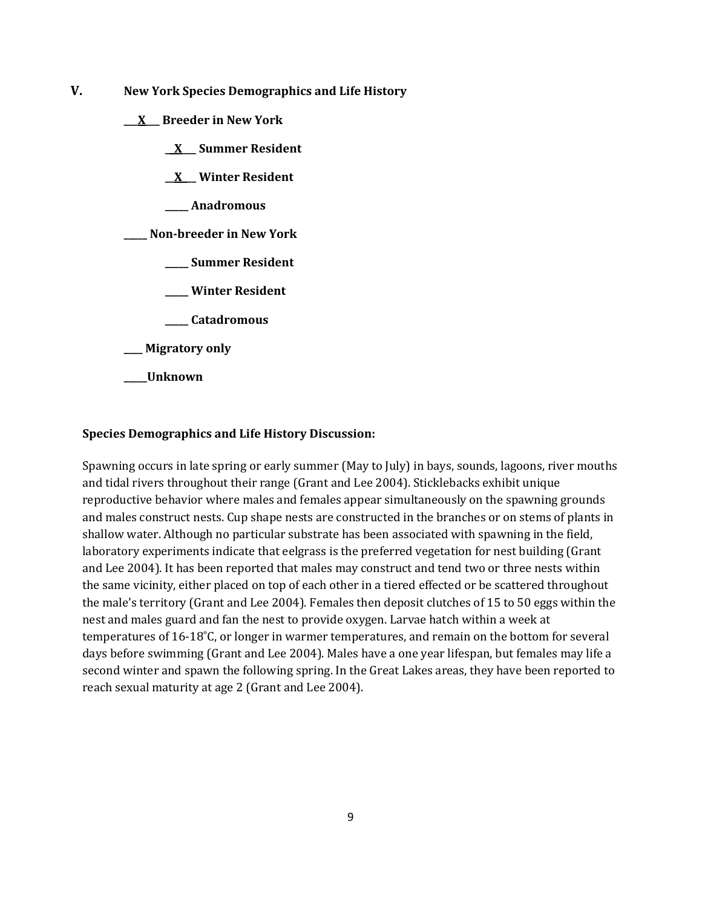- **V. New York Species Demographics and Life History**
	- **\_\_\_X\_\_\_ Breeder in New York**
		- **\_\_X\_\_\_ Summer Resident**

**\_\_X\_\_\_ Winter Resident**

**\_\_\_\_\_ Anadromous**

**\_\_\_\_\_ Non-breeder in New York**

- **\_\_\_\_\_ Summer Resident**
- **\_\_\_\_\_ Winter Resident**
- **\_\_\_\_\_ Catadromous**
- **\_\_\_\_ Migratory only**
- **\_\_\_\_\_Unknown**

#### **Species Demographics and Life History Discussion:**

Spawning occurs in late spring or early summer (May to July) in bays, sounds, lagoons, river mouths and tidal rivers throughout their range (Grant and Lee 2004). Sticklebacks exhibit unique reproductive behavior where males and females appear simultaneously on the spawning grounds and males construct nests. Cup shape nests are constructed in the branches or on stems of plants in shallow water. Although no particular substrate has been associated with spawning in the field, laboratory experiments indicate that eelgrass is the preferred vegetation for nest building (Grant and Lee 2004). It has been reported that males may construct and tend two or three nests within the same vicinity, either placed on top of each other in a tiered effected or be scattered throughout the male's territory (Grant and Lee 2004). Females then deposit clutches of 15 to 50 eggs within the nest and males guard and fan the nest to provide oxygen. Larvae hatch within a week at temperatures of 16-18˚C, or longer in warmer temperatures, and remain on the bottom for several days before swimming (Grant and Lee 2004). Males have a one year lifespan, but females may life a second winter and spawn the following spring. In the Great Lakes areas, they have been reported to reach sexual maturity at age 2 (Grant and Lee 2004).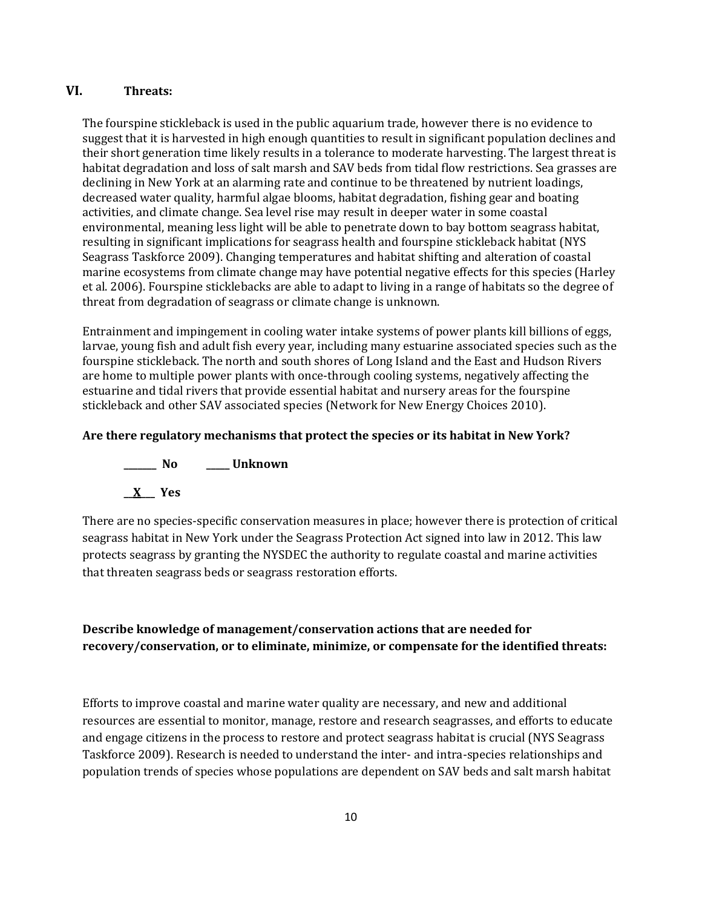## **VI. Threats:**

The fourspine stickleback is used in the public aquarium trade, however there is no evidence to suggest that it is harvested in high enough quantities to result in significant population declines and their short generation time likely results in a tolerance to moderate harvesting. The largest threat is habitat degradation and loss of salt marsh and SAV beds from tidal flow restrictions. Sea grasses are declining in New York at an alarming rate and continue to be threatened by nutrient loadings, decreased water quality, harmful algae blooms, habitat degradation, fishing gear and boating activities, and climate change. Sea level rise may result in deeper water in some coastal environmental, meaning less light will be able to penetrate down to bay bottom seagrass habitat, resulting in significant implications for seagrass health and fourspine stickleback habitat (NYS Seagrass Taskforce 2009). Changing temperatures and habitat shifting and alteration of coastal marine ecosystems from climate change may have potential negative effects for this species (Harley et al. 2006). Fourspine sticklebacks are able to adapt to living in a range of habitats so the degree of threat from degradation of seagrass or climate change is unknown.

Entrainment and impingement in cooling water intake systems of power plants kill billions of eggs, larvae, young fish and adult fish every year, including many estuarine associated species such as the fourspine stickleback. The north and south shores of Long Island and the East and Hudson Rivers are home to multiple power plants with once-through cooling systems, negatively affecting the estuarine and tidal rivers that provide essential habitat and nursery areas for the fourspine stickleback and other SAV associated species (Network for New Energy Choices 2010).

### **Are there regulatory mechanisms that protect the species or its habitat in New York?**



There are no species-specific conservation measures in place; however there is protection of critical seagrass habitat in New York under the Seagrass Protection Act signed into law in 2012. This law protects seagrass by granting the NYSDEC the authority to regulate coastal and marine activities that threaten seagrass beds or seagrass restoration efforts.

## **Describe knowledge of management/conservation actions that are needed for recovery/conservation, or to eliminate, minimize, or compensate for the identified threats:**

Efforts to improve coastal and marine water quality are necessary, and new and additional resources are essential to monitor, manage, restore and research seagrasses, and efforts to educate and engage citizens in the process to restore and protect seagrass habitat is crucial (NYS Seagrass Taskforce 2009). Research is needed to understand the inter- and intra-species relationships and population trends of species whose populations are dependent on SAV beds and salt marsh habitat